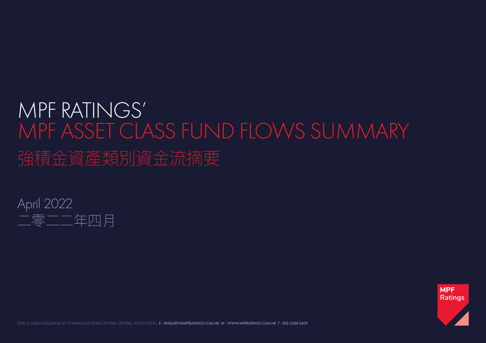## MPF RATINGS' MPF ASSET CLASS FUND FLOWS SUMMARY 強積金資產類別資金流摘要





LEVEL 15, NEXXUS BUILDING, 41 CONNAUGHT ROAD CENTRAL, CENTRAL, HONG KONG E - ENQUIRY@MPFRATINGS.COM.HK W - WWW.MPFRATINGS.COM.HK T - 852 2588 3409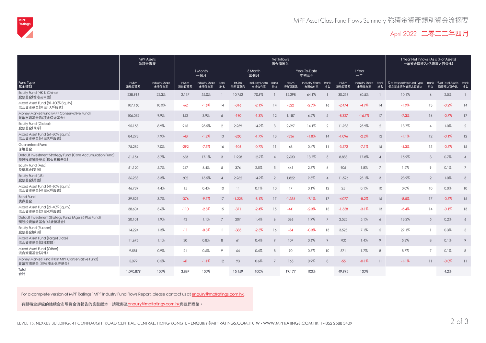

## April 2022 二零二二年四月

|                                                                               |                | <b>MPF Assets</b><br>強積金資產     | Net Inflows<br>資金淨流入 |                              |                          |                       |                              |                          |                |                              |                 |                |                              |                 | 1 Year Net Inflows (As a % of Assets)<br>一年資金淨流入(佔資產之百分比) |                 |                                           |                |
|-------------------------------------------------------------------------------|----------------|--------------------------------|----------------------|------------------------------|--------------------------|-----------------------|------------------------------|--------------------------|----------------|------------------------------|-----------------|----------------|------------------------------|-----------------|-----------------------------------------------------------|-----------------|-------------------------------------------|----------------|
|                                                                               |                |                                | 1 Month<br>一個月       |                              |                          |                       | 3 Month<br>三個月               | Year-To-Date<br>年初至今     |                |                              |                 |                | 1 Year<br>一年                 |                 |                                                           |                 |                                           |                |
| Fund Type<br>基金類别                                                             | HK\$m<br>港幣百萬元 | <b>Industry Share</b><br>市場佔有率 | HK\$m<br>港幣百萬元       | Industry Share Rank<br>市場佔有率 | 排名                       | <b>HK\$m</b><br>港幣百萬元 | Industry Share Rank<br>市場佔有率 | 排名                       | HK\$m<br>港幣百萬元 | Industry Share Rank<br>市場佔有率 | 排名              | HK\$m<br>港幣百萬元 | Industry Share Rank<br>市場佔有率 | 排名              | % of Respective Fund Type<br>個別基金類别資產之百分比                 | 排名              | Rank % of Total Assets Rank<br>總資產之百分比 排名 |                |
| Equity Fund (HK & China)<br>股票基金(香港及中國)                                       | 238,916        | 22.3%                          | 2,137                | 55.0%                        |                          | 10,752                | 70.9%                        |                          | 12,298         | 64.1%                        |                 | 30,256         | 60.5%                        |                 | 10.1%                                                     | 6               | 2.5%                                      |                |
| Mixed Asset Fund (81-100% Equity)<br>混合資產基金(81至100%股票)                        | 107,160        | 10.0%                          | $-62$                | $-1.6%$                      | 14                       | $-316$                | $-2.1%$                      | 14                       | $-522$         | $-2.7\%$                     | 16              | $-2.474$       | $-4.9\%$                     | 14              | $-1.9\%$                                                  | 13              | $-0.2%$                                   | 14             |
| Money Market Fund (MPF Conservative Fund)<br>貨幣市場基金(強積金保守基金)                  | 106,032        | 9.9%                           | 152                  | 3.9%                         | 6                        | $-190$                | $-1.3%$                      | 12                       | 1,187          | 6.2%                         | 5               | $-8,327$       | $-16.7%$                     | 17              | $-7.3%$                                                   | 16              | $-0.7\%$                                  | 17             |
| Equity Fund (Global)<br>股票基金(環球)                                              | 95,158         | 8.9%                           | 915                  | 23.5%                        | $\overline{2}$           | 2,259                 | 14.9%                        | $\mathcal{S}$            | 2,697          | 14.1%                        | $\overline{2}$  | 11,938         | 23.9%                        | $\overline{2}$  | 13.7%                                                     | $\overline{4}$  | 1.0%                                      | $\overline{2}$ |
| Mixed Asset Fund (61-80% Equity)<br>混合資產基金(61至80%股票)                          | 84,293         | 7.9%                           | $-48$                | $-1.2%$                      | 13                       | $-260$                | $-1.7%$                      | 13                       | $-336$         | $-1.8%$                      | 14              | $-1,096$       | $-2.2%$                      | 12              | $-1.1%$                                                   | 12              | $-0.1%$                                   | 12             |
| Guaranteed Fund<br>保證基金                                                       | 75,282         | 7.0%                           | $-292$               | $-7.5%$                      | 16                       | $-106$                | $-0.7%$                      | 11                       | 68             | 0.4%                         | 11              | $-3,572$       | $-7.1%$                      | 15              | $-4.3%$                                                   | 15              | $-0.3%$                                   | 15             |
| Default Investment Strategy Fund (Core Accumulation Fund)<br>預設投資策略基金(核心累積基金) | 61,154         | 5.7%                           | 663                  | 17.1%                        | $\mathcal{S}$            | 1,928                 | 12.7%                        | $\overline{\mathcal{A}}$ | 2,630          | 13.7%                        | 3               | 8,883          | 17.8%                        | $\overline{A}$  | 15.9%                                                     | $\mathfrak{Z}$  | 0.7%                                      | $\overline{4}$ |
| Equity Fund (Asia)<br>股票基金(亞洲)                                                | 61,120         | 5.7%                           | 247                  | 6.4%                         | 5                        | 376                   | 2.5%                         | 5                        | 441            | 2.3%                         | 6               | 906            | 1.8%                         | $7^{\circ}$     | 1.2%                                                      | 9               | 0.1%                                      | $\overline{7}$ |
| Equity Fund (US)<br>股票基金(美國)                                                  | 56,233         | 5.3%                           | 602                  | 15.5%                        | $\overline{\mathcal{A}}$ | 2,262                 | 14.9%                        | $\overline{2}$           | 1,822          | 9.5%                         | $\overline{A}$  | 11,526         | 23.1%                        | $\mathcal{S}$   | 23.9%                                                     | $\overline{2}$  | 1.0%                                      | $\mathcal{S}$  |
| Mixed Asset Fund (41-60% Equity)<br>混合資產基金(41至60%股票)                          | 46,739         | 4.4%                           | 15                   | 0.4%                         | 10                       | 11                    | 0.1%                         | 10 <sup>°</sup>          | 17             | 0.1%                         | 12              | 25             | 0.1%                         | 10 <sup>1</sup> | 0.0%                                                      | 10              | 0.0%                                      | 10             |
| <b>Bond Fund</b><br>倩券基金                                                      | 39,529         | 3.7%                           | $-376$               | $-9.7%$                      | 17                       | $-1,228$              | $-8.1%$                      | 17                       | $-1,356$       | $-7.1%$                      | 17              | $-4.077$       | $-8.2%$                      | 16              | $-8.5%$                                                   | 17              | $-0.3%$                                   | 16             |
| Mixed Asset Fund (21-40% Equity)<br>混合資產基金(21至40%股票)                          | 38,604         | 3.6%                           | $-110$               | $-2.8%$                      | 15                       | $-371$                | $-2.4%$                      | 15                       | $-441$         | $-2.3%$                      | 15              | $-1,558$       | $-3.1%$                      | 13              | $-3.4%$                                                   | 14              | $-0.1%$                                   | 13             |
| Default Investment Strategy Fund (Age 65 Plus Fund)<br>預設投資策略基金(65歲後基金)       | 20,101         | 1.9%                           | 43                   | 1.1%                         |                          | 207                   | 1.4%                         | 6                        | 366            | 1.9%                         | $\overline{7}$  | 2,525          | 5.1%                         | 6               | 13.2%                                                     | $5\overline{)}$ | 0.2%                                      | 6              |
| Equity Fund (Europe)<br>股票基金(歐洲)                                              | 14,224         | 1.3%                           | $-11$                | $-0.3%$                      | 11                       | $-383$                | $-2.5%$                      | 16                       | $-54$          | $-0.3%$                      | 13              | 3,525          | 7.1%                         | 5               | 29.1%                                                     |                 | 0.3%                                      | 5              |
| Mixed Asset Fund (Target Date)<br>混合資產基金(目標期限)                                | 11,675         | 1.1%                           | 30                   | 0.8%                         | 8                        | 61                    | 0.4%                         | 9                        | 107            | 0.6%                         | $\circ$         | 700            | 1.4%                         | 9               | 5.3%                                                      | 8               | 0.1%                                      | 9              |
| Mixed Asset Fund (Other)<br>混合資產基金(其他)                                        | 9,581          | 0.9%                           | 21                   | 0.6%                         | 9                        | 64                    | 0.4%                         | 8                        | 90             | 0.5%                         | 10 <sup>°</sup> | 871            | 1.7%                         | 8               | 8.7%                                                      | $\overline{7}$  | 0.1%                                      | 8              |
| Money Market Fund (Non MPF Conservative Fund)<br>貨幣市場基金 (非強積金保守基金)            | 5,079          | 0.5%                           | $-41$                | $-1.1%$                      | 12                       | 93                    | 0.6%                         | $\overline{7}$           | 165            | 0.9%                         | 8               | $-55$          | $-0.1%$                      | 11              | $-1.1%$                                                   | 11              | $-0.0%$                                   | 11             |
| Total<br>合計                                                                   | 1,070,879      | 100%                           | 3,887                | 100%                         |                          | 15,159                | 100%                         |                          | 19,177         | 100%                         |                 | 49,995         | 100%                         |                 |                                                           |                 | 4.2%                                      |                |

For a complete version of MPF Ratings' MPF Industry Fund Flows Report, please contact us at enquiry@mpfratings.com.hk.

有關積金評級的強積金市場資金流報告的完整版本,請電郵至enquiry@mpfratings.com.hk與我們聯絡。